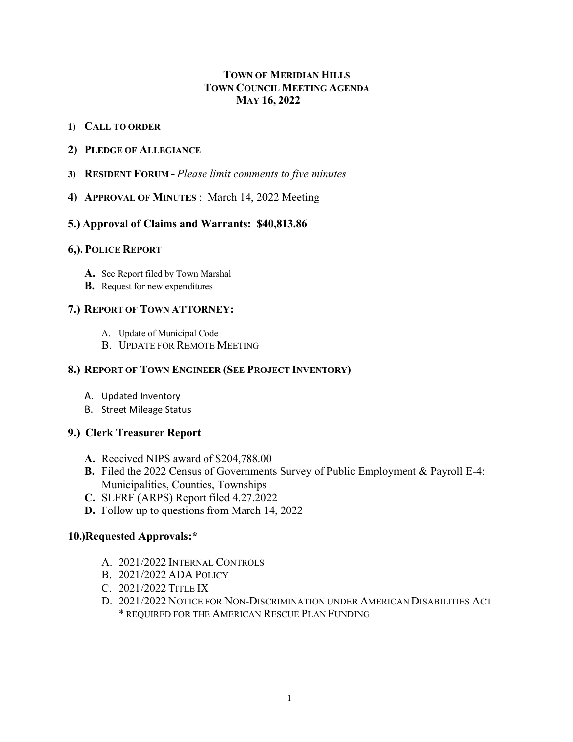# **TOWN OF MERIDIAN HILLS TOWN COUNCIL MEETING AGENDA MAY 16, 2022**

- **1) CALL TO ORDER**
- **2) PLEDGE OF ALLEGIANCE**
- **3) RESIDENT FORUM -** *Please limit comments to five minutes*
- **4) APPROVAL OF MINUTES** : March 14, 2022 Meeting

## **5.) Approval of Claims and Warrants: \$40,813.86**

#### **6,). POLICE REPORT**

- **A.** See Report filed by Town Marshal
- **B.** Request for new expenditures

### **7.) REPORT OF TOWN ATTORNEY:**

- A. Update of Municipal Code
- B. UPDATE FOR REMOTE MEETING

### **8.) REPORT OF TOWN ENGINEER (SEE PROJECT INVENTORY)**

- A. Updated Inventory
- B. Street Mileage Status

### **9.) Clerk Treasurer Report**

- **A.** Received NIPS award of \$204,788.00
- **B.** Filed the 2022 Census of Governments Survey of Public Employment & Payroll E-4: Municipalities, Counties, Townships
- **C.** SLFRF (ARPS) Report filed 4.27.2022
- **D.** Follow up to questions from March 14, 2022

#### **10.)Requested Approvals:\***

- A. 2021/2022 INTERNAL CONTROLS
- B. 2021/2022 ADA POLICY
- C. 2021/2022 TITLE IX
- D. 2021/2022 NOTICE FOR NON-DISCRIMINATION UNDER AMERICAN DISABILITIES ACT \* REQUIRED FOR THE AMERICAN RESCUE PLAN FUNDING